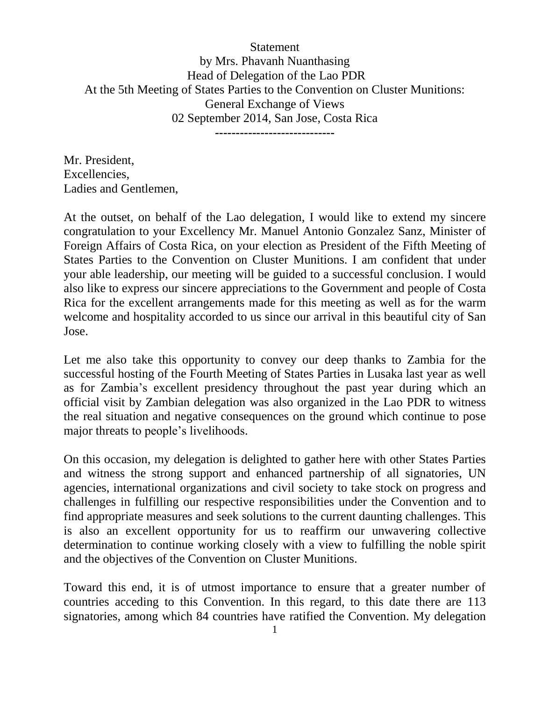**Statement** by Mrs. Phavanh Nuanthasing Head of Delegation of the Lao PDR At the 5th Meeting of States Parties to the Convention on Cluster Munitions: General Exchange of Views 02 September 2014, San Jose, Costa Rica

**-----------------------------**

Mr. President, Excellencies, Ladies and Gentlemen,

At the outset, on behalf of the Lao delegation, I would like to extend my sincere congratulation to your Excellency Mr. Manuel Antonio Gonzalez Sanz, Minister of Foreign Affairs of Costa Rica, on your election as President of the Fifth Meeting of States Parties to the Convention on Cluster Munitions. I am confident that under your able leadership, our meeting will be guided to a successful conclusion. I would also like to express our sincere appreciations to the Government and people of Costa Rica for the excellent arrangements made for this meeting as well as for the warm welcome and hospitality accorded to us since our arrival in this beautiful city of San Jose.

Let me also take this opportunity to convey our deep thanks to Zambia for the successful hosting of the Fourth Meeting of States Parties in Lusaka last year as well as for Zambia's excellent presidency throughout the past year during which an official visit by Zambian delegation was also organized in the Lao PDR to witness the real situation and negative consequences on the ground which continue to pose major threats to people's livelihoods.

On this occasion, my delegation is delighted to gather here with other States Parties and witness the strong support and enhanced partnership of all signatories, UN agencies, international organizations and civil society to take stock on progress and challenges in fulfilling our respective responsibilities under the Convention and to find appropriate measures and seek solutions to the current daunting challenges. This is also an excellent opportunity for us to reaffirm our unwavering collective determination to continue working closely with a view to fulfilling the noble spirit and the objectives of the Convention on Cluster Munitions.

Toward this end, it is of utmost importance to ensure that a greater number of countries acceding to this Convention. In this regard, to this date there are 113 signatories, among which 84 countries have ratified the Convention. My delegation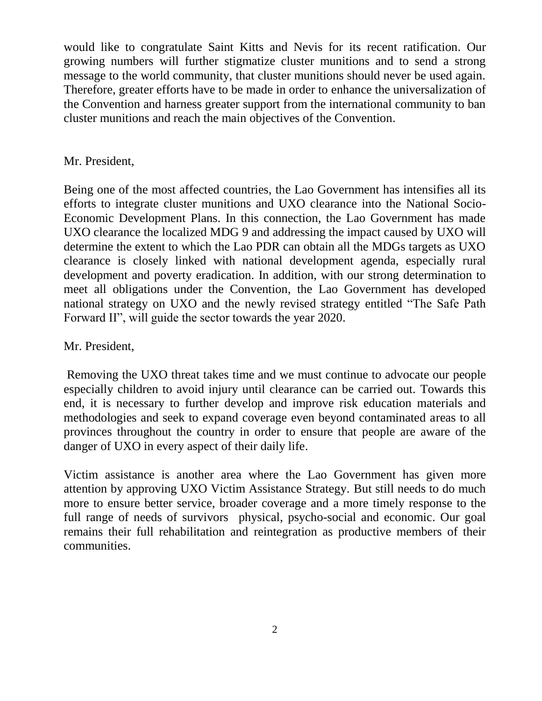would like to congratulate Saint Kitts and Nevis for its recent ratification. Our growing numbers will further stigmatize cluster munitions and to send a strong message to the world community, that cluster munitions should never be used again. Therefore, greater efforts have to be made in order to enhance the universalization of the Convention and harness greater support from the international community to ban cluster munitions and reach the main objectives of the Convention.

## Mr. President,

Being one of the most affected countries, the Lao Government has intensifies all its efforts to integrate cluster munitions and UXO clearance into the National Socio-Economic Development Plans. In this connection, the Lao Government has made UXO clearance the localized MDG 9 and addressing the impact caused by UXO will determine the extent to which the Lao PDR can obtain all the MDGs targets as UXO clearance is closely linked with national development agenda, especially rural development and poverty eradication. In addition, with our strong determination to meet all obligations under the Convention, the Lao Government has developed national strategy on UXO and the newly revised strategy entitled "The Safe Path Forward II", will guide the sector towards the year 2020.

Mr. President,

Removing the UXO threat takes time and we must continue to advocate our people especially children to avoid injury until clearance can be carried out. Towards this end, it is necessary to further develop and improve risk education materials and methodologies and seek to expand coverage even beyond contaminated areas to all provinces throughout the country in order to ensure that people are aware of the danger of UXO in every aspect of their daily life.

Victim assistance is another area where the Lao Government has given more attention by approving UXO Victim Assistance Strategy. But still needs to do much more to ensure better service, broader coverage and a more timely response to the full range of needs of survivors physical, psycho-social and economic. Our goal remains their full rehabilitation and reintegration as productive members of their communities.